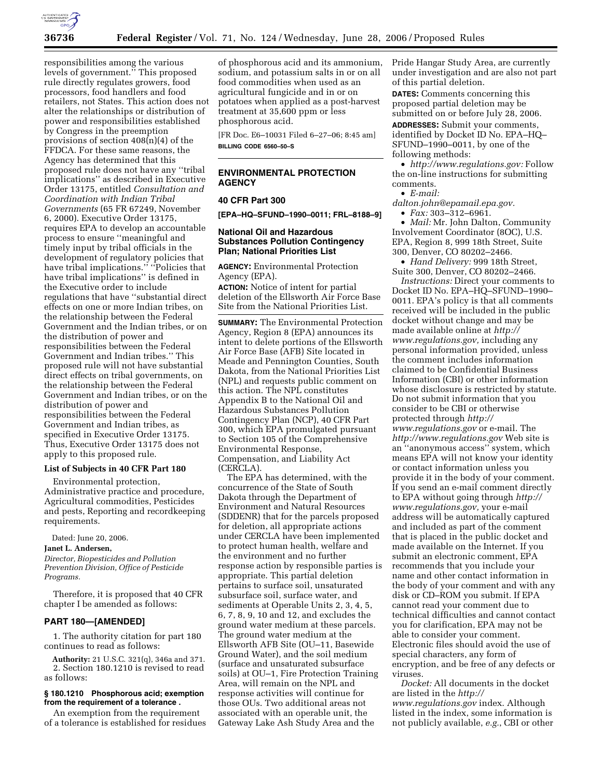

responsibilities among the various levels of government.'' This proposed rule directly regulates growers, food processors, food handlers and food retailers, not States. This action does not alter the relationships or distribution of power and responsibilities established by Congress in the preemption provisions of section 408(n)(4) of the FFDCA. For these same reasons, the Agency has determined that this proposed rule does not have any ''tribal implications'' as described in Executive Order 13175, entitled *Consultation and Coordination with Indian Tribal Governments* (65 FR 67249, November 6, 2000). Executive Order 13175, requires EPA to develop an accountable process to ensure ''meaningful and timely input by tribal officials in the development of regulatory policies that have tribal implications." "Policies that have tribal implications'' is defined in the Executive order to include regulations that have ''substantial direct effects on one or more Indian tribes, on the relationship between the Federal Government and the Indian tribes, or on the distribution of power and responsibilities between the Federal Government and Indian tribes.'' This proposed rule will not have substantial direct effects on tribal governments, on the relationship between the Federal Government and Indian tribes, or on the distribution of power and responsibilities between the Federal Government and Indian tribes, as specified in Executive Order 13175. Thus, Executive Order 13175 does not apply to this proposed rule.

## **List of Subjects in 40 CFR Part 180**

Environmental protection, Administrative practice and procedure, Agricultural commodities, Pesticides and pests, Reporting and recordkeeping requirements.

Dated: June 20, 2006.

#### **Janet L. Andersen,**

*Director, Biopesticides and Pollution Prevention Division, Office of Pesticide Programs.* 

Therefore, it is proposed that 40 CFR chapter I be amended as follows:

#### **PART 180—[AMENDED]**

1. The authority citation for part 180 continues to read as follows:

**Authority:** 21 U.S.C. 321(q), 346a and 371. 2. Section 180.1210 is revised to read as follows:

## **§ 180.1210 Phosphorous acid; exemption from the requirement of a tolerance .**

An exemption from the requirement of a tolerance is established for residues of phosphorous acid and its ammonium, sodium, and potassium salts in or on all food commodities when used as an agricultural fungicide and in or on potatoes when applied as a post-harvest treatment at 35,600 ppm or less phosphorous acid.

[FR Doc. E6–10031 Filed 6–27–06; 8:45 am] **BILLING CODE 6560–50–S** 

# **ENVIRONMENTAL PROTECTION AGENCY**

# **40 CFR Part 300**

**[EPA–HQ–SFUND–1990–0011; FRL–8188–9]** 

## **National Oil and Hazardous Substances Pollution Contingency Plan; National Priorities List**

**AGENCY:** Environmental Protection Agency (EPA).

**ACTION:** Notice of intent for partial deletion of the Ellsworth Air Force Base Site from the National Priorities List.

**SUMMARY:** The Environmental Protection Agency, Region 8 (EPA) announces its intent to delete portions of the Ellsworth Air Force Base (AFB) Site located in Meade and Pennington Counties, South Dakota, from the National Priorities List (NPL) and requests public comment on this action. The NPL constitutes Appendix B to the National Oil and Hazardous Substances Pollution Contingency Plan (NCP), 40 CFR Part 300, which EPA promulgated pursuant to Section 105 of the Comprehensive Environmental Response, Compensation, and Liability Act (CERCLA).

The EPA has determined, with the concurrence of the State of South Dakota through the Department of Environment and Natural Resources (SDDENR) that for the parcels proposed for deletion, all appropriate actions under CERCLA have been implemented to protect human health, welfare and the environment and no further response action by responsible parties is appropriate. This partial deletion pertains to surface soil, unsaturated subsurface soil, surface water, and sediments at Operable Units 2, 3, 4, 5, 6, 7, 8, 9, 10 and 12, and excludes the ground water medium at these parcels. The ground water medium at the Ellsworth AFB Site (OU–11, Basewide Ground Water), and the soil medium (surface and unsaturated subsurface soils) at OU–1, Fire Protection Training Area, will remain on the NPL and response activities will continue for those OUs. Two additional areas not associated with an operable unit, the Gateway Lake Ash Study Area and the

Pride Hangar Study Area, are currently under investigation and are also not part of this partial deletion.

**DATES:** Comments concerning this proposed partial deletion may be submitted on or before July 28, 2006.

**ADDRESSES:** Submit your comments, identified by Docket ID No. EPA–HQ– SFUND–1990–0011, by one of the following methods:

• *http://www.regulations.gov:* Follow the on-line instructions for submitting comments.

• *E-mail:* 

*dalton.john@epamail.epa.gov.* 

• *Fax:* 303–312–6961.

• *Mail:* Mr. John Dalton, Community Involvement Coordinator (8OC), U.S. EPA, Region 8, 999 18th Street, Suite 300, Denver, CO 80202–2466.

• *Hand Delivery:* 999 18th Street, Suite 300, Denver, CO 80202–2466.

*Instructions:* Direct your comments to Docket ID No. EPA–HQ–SFUND–1990– 0011. EPA's policy is that all comments received will be included in the public docket without change and may be made available online at *http:// www.regulations.gov,* including any personal information provided, unless the comment includes information claimed to be Confidential Business Information (CBI) or other information whose disclosure is restricted by statute. Do not submit information that you consider to be CBI or otherwise protected through *http:// www.regulations.gov* or e-mail. The *http://www.regulations.gov* Web site is an ''anonymous access'' system, which means EPA will not know your identity or contact information unless you provide it in the body of your comment. If you send an e-mail comment directly to EPA without going through *http:// www.regulations.gov,* your e-mail address will be automatically captured and included as part of the comment that is placed in the public docket and made available on the Internet. If you submit an electronic comment, EPA recommends that you include your name and other contact information in the body of your comment and with any disk or CD–ROM you submit. If EPA cannot read your comment due to technical difficulties and cannot contact you for clarification, EPA may not be able to consider your comment. Electronic files should avoid the use of special characters, any form of encryption, and be free of any defects or viruses.

*Docket:* All documents in the docket are listed in the *http:// www.regulations.gov* index. Although listed in the index, some information is not publicly available, *e.g.*, CBI or other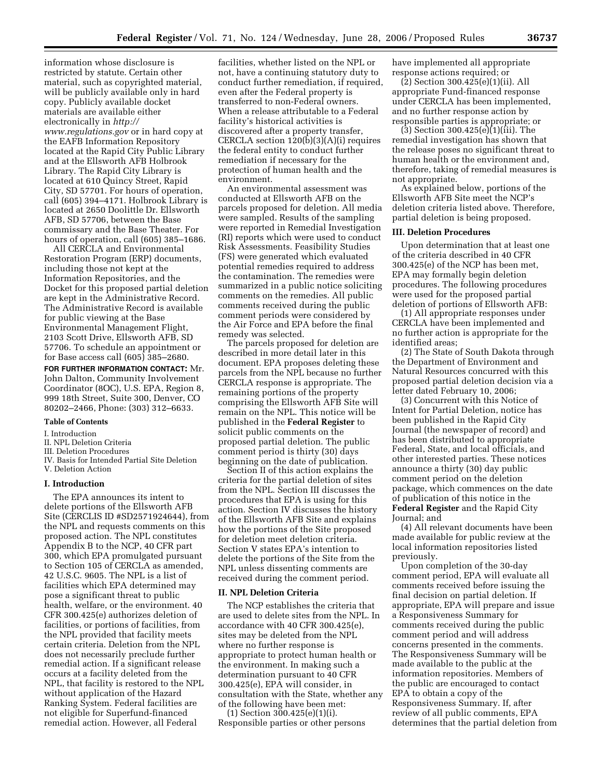information whose disclosure is restricted by statute. Certain other material, such as copyrighted material, will be publicly available only in hard copy. Publicly available docket materials are available either electronically in *http:// www.regulations.gov* or in hard copy at the EAFB Information Repository located at the Rapid City Public Library and at the Ellsworth AFB Holbrook Library. The Rapid City Library is located at 610 Quincy Street, Rapid City, SD 57701. For hours of operation, call (605) 394–4171. Holbrook Library is located at 2650 Doolittle Dr. Ellsworth AFB, SD 57706, between the Base commissary and the Base Theater. For hours of operation, call (605) 385–1686.

All CERCLA and Environmental Restoration Program (ERP) documents, including those not kept at the Information Repositories, and the Docket for this proposed partial deletion are kept in the Administrative Record. The Administrative Record is available for public viewing at the Base Environmental Management Flight, 2103 Scott Drive, Ellsworth AFB, SD 57706. To schedule an appointment or for Base access call (605) 385–2680.

**FOR FURTHER INFORMATION CONTACT:** Mr. John Dalton, Community Involvement Coordinator (8OC), U.S. EPA, Region 8, 999 18th Street, Suite 300, Denver, CO 80202–2466, Phone: (303) 312–6633.

## **Table of Contents**

#### I. Introduction

- II. NPL Deletion Criteria
- III. Deletion Procedures
- IV. Basis for Intended Partial Site Deletion V. Deletion Action

#### **I. Introduction**

The EPA announces its intent to delete portions of the Ellsworth AFB Site (CERCLIS ID #SD2571924644), from the NPL and requests comments on this proposed action. The NPL constitutes Appendix B to the NCP, 40 CFR part 300, which EPA promulgated pursuant to Section 105 of CERCLA as amended, 42 U.S.C. 9605. The NPL is a list of facilities which EPA determined may pose a significant threat to public health, welfare, or the environment. 40 CFR 300.425(e) authorizes deletion of facilities, or portions of facilities, from the NPL provided that facility meets certain criteria. Deletion from the NPL does not necessarily preclude further remedial action. If a significant release occurs at a facility deleted from the NPL, that facility is restored to the NPL without application of the Hazard Ranking System. Federal facilities are not eligible for Superfund-financed remedial action. However, all Federal

facilities, whether listed on the NPL or not, have a continuing statutory duty to conduct further remediation, if required, even after the Federal property is transferred to non-Federal owners. When a release attributable to a Federal facility's historical activities is discovered after a property transfer, CERCLA section 120(b)(3)(A)(i) requires the federal entity to conduct further remediation if necessary for the protection of human health and the environment.

An environmental assessment was conducted at Ellsworth AFB on the parcels proposed for deletion. All media were sampled. Results of the sampling were reported in Remedial Investigation (RI) reports which were used to conduct Risk Assessments. Feasibility Studies (FS) were generated which evaluated potential remedies required to address the contamination. The remedies were summarized in a public notice soliciting comments on the remedies. All public comments received during the public comment periods were considered by the Air Force and EPA before the final remedy was selected.

The parcels proposed for deletion are described in more detail later in this document. EPA proposes deleting these parcels from the NPL because no further CERCLA response is appropriate. The remaining portions of the property comprising the Ellsworth AFB Site will remain on the NPL. This notice will be published in the **Federal Register** to solicit public comments on the proposed partial deletion. The public comment period is thirty (30) days beginning on the date of publication.

Section II of this action explains the criteria for the partial deletion of sites from the NPL. Section III discusses the procedures that EPA is using for this action. Section IV discusses the history of the Ellsworth AFB Site and explains how the portions of the Site proposed for deletion meet deletion criteria. Section V states EPA's intention to delete the portions of the Site from the NPL unless dissenting comments are received during the comment period.

#### **II. NPL Deletion Criteria**

The NCP establishes the criteria that are used to delete sites from the NPL. In accordance with 40 CFR 300.425(e), sites may be deleted from the NPL where no further response is appropriate to protect human health or the environment. In making such a determination pursuant to 40 CFR 300.425(e), EPA will consider, in consultation with the State, whether any of the following have been met:

 $(1)$  Section  $300.425(e)(1)(i)$ . Responsible parties or other persons have implemented all appropriate response actions required; or

(2) Section 300.425(e)(1)(ii). All appropriate Fund-financed response under CERCLA has been implemented, and no further response action by responsible parties is appropriate; or

(3) Section 300.425(e)(1)(iii). The remedial investigation has shown that the release poses no significant threat to human health or the environment and, therefore, taking of remedial measures is not appropriate.

As explained below, portions of the Ellsworth AFB Site meet the NCP's deletion criteria listed above. Therefore, partial deletion is being proposed.

## **III. Deletion Procedures**

Upon determination that at least one of the criteria described in 40 CFR 300.425(e) of the NCP has been met, EPA may formally begin deletion procedures. The following procedures were used for the proposed partial deletion of portions of Ellsworth AFB:

(1) All appropriate responses under CERCLA have been implemented and no further action is appropriate for the identified areas;

(2) The State of South Dakota through the Department of Environment and Natural Resources concurred with this proposed partial deletion decision via a letter dated February 10, 2006;

(3) Concurrent with this Notice of Intent for Partial Deletion, notice has been published in the Rapid City Journal (the newspaper of record) and has been distributed to appropriate Federal, State, and local officials, and other interested parties. These notices announce a thirty (30) day public comment period on the deletion package, which commences on the date of publication of this notice in the **Federal Register** and the Rapid City Journal; and

(4) All relevant documents have been made available for public review at the local information repositories listed previously.

Upon completion of the 30-day comment period, EPA will evaluate all comments received before issuing the final decision on partial deletion. If appropriate, EPA will prepare and issue a Responsiveness Summary for comments received during the public comment period and will address concerns presented in the comments. The Responsiveness Summary will be made available to the public at the information repositories. Members of the public are encouraged to contact EPA to obtain a copy of the Responsiveness Summary. If, after review of all public comments, EPA determines that the partial deletion from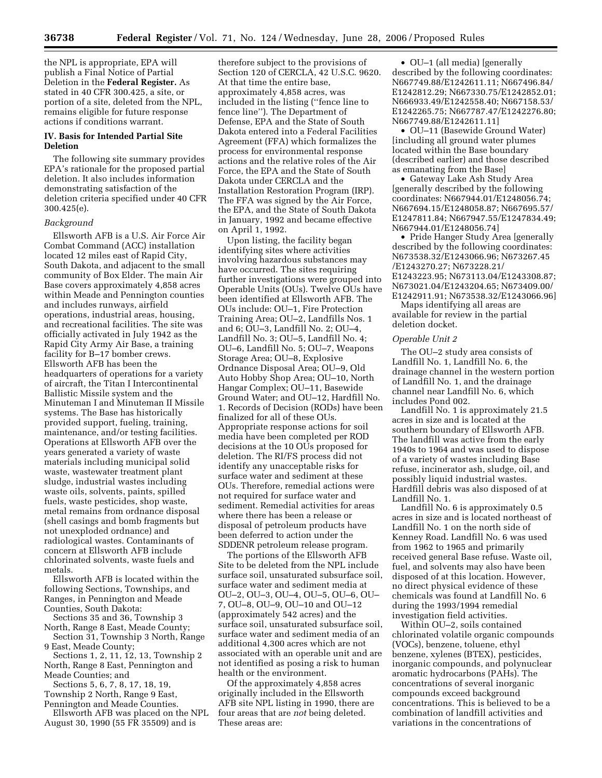the NPL is appropriate, EPA will publish a Final Notice of Partial Deletion in the **Federal Register.** As stated in 40 CFR 300.425, a site, or portion of a site, deleted from the NPL, remains eligible for future response actions if conditions warrant.

## **IV. Basis for Intended Partial Site Deletion**

The following site summary provides EPA's rationale for the proposed partial deletion. It also includes information demonstrating satisfaction of the deletion criteria specified under 40 CFR 300.425(e).

### *Background*

Ellsworth AFB is a U.S. Air Force Air Combat Command (ACC) installation located 12 miles east of Rapid City, South Dakota, and adjacent to the small community of Box Elder. The main Air Base covers approximately 4,858 acres within Meade and Pennington counties and includes runways, airfield operations, industrial areas, housing, and recreational facilities. The site was officially activated in July 1942 as the Rapid City Army Air Base, a training facility for B–17 bomber crews. Ellsworth AFB has been the headquarters of operations for a variety of aircraft, the Titan I Intercontinental Ballistic Missile system and the Minuteman I and Minuteman II Missile systems. The Base has historically provided support, fueling, training, maintenance, and/or testing facilities. Operations at Ellsworth AFB over the years generated a variety of waste materials including municipal solid waste, wastewater treatment plant sludge, industrial wastes including waste oils, solvents, paints, spilled fuels, waste pesticides, shop waste, metal remains from ordnance disposal (shell casings and bomb fragments but not unexploded ordnance) and radiological wastes. Contaminants of concern at Ellsworth AFB include chlorinated solvents, waste fuels and metals.

Ellsworth AFB is located within the following Sections, Townships, and Ranges, in Pennington and Meade Counties, South Dakota:

Sections 35 and 36, Township 3 North, Range 8 East, Meade County;

Section 31, Township 3 North, Range 9 East, Meade County;

Sections 1, 2, 11, 12, 13, Township 2 North, Range 8 East, Pennington and Meade Counties; and

Sections 5, 6, 7, 8, 17, 18, 19, Township 2 North, Range 9 East, Pennington and Meade Counties.

Ellsworth AFB was placed on the NPL August 30, 1990 (55 FR 35509) and is

therefore subject to the provisions of Section 120 of CERCLA, 42 U.S.C. 9620. At that time the entire base, approximately 4,858 acres, was included in the listing (''fence line to fence line''). The Department of Defense, EPA and the State of South Dakota entered into a Federal Facilities Agreement (FFA) which formalizes the process for environmental response actions and the relative roles of the Air Force, the EPA and the State of South Dakota under CERCLA and the Installation Restoration Program (IRP). The FFA was signed by the Air Force, the EPA, and the State of South Dakota in January, 1992 and became effective on April 1, 1992.

Upon listing, the facility began identifying sites where activities involving hazardous substances may have occurred. The sites requiring further investigations were grouped into Operable Units (OUs). Twelve OUs have been identified at Ellsworth AFB. The OUs include: OU–1, Fire Protection Training Area; OU–2, Landfills Nos. 1 and 6; OU–3, Landfill No. 2; OU–4, Landfill No. 3; OU–5, Landfill No. 4; OU–6, Landfill No. 5; OU–7, Weapons Storage Area; OU–8, Explosive Ordnance Disposal Area; OU–9, Old Auto Hobby Shop Area; OU–10, North Hangar Complex; OU–11, Basewide Ground Water; and OU–12, Hardfill No. 1. Records of Decision (RODs) have been finalized for all of these OUs. Appropriate response actions for soil media have been completed per ROD decisions at the 10 OUs proposed for deletion. The RI/FS process did not identify any unacceptable risks for surface water and sediment at these OUs. Therefore, remedial actions were not required for surface water and sediment. Remedial activities for areas where there has been a release or disposal of petroleum products have been deferred to action under the SDDENR petroleum release program.

The portions of the Ellsworth AFB Site to be deleted from the NPL include surface soil, unsaturated subsurface soil, surface water and sediment media at OU–2, OU–3, OU–4, OU–5, OU–6, OU– 7, OU–8, OU–9, OU–10 and OU–12 (approximately 542 acres) and the surface soil, unsaturated subsurface soil, surface water and sediment media of an additional 4,300 acres which are not associated with an operable unit and are not identified as posing a risk to human health or the environment.

Of the approximately 4,858 acres originally included in the Ellsworth AFB site NPL listing in 1990, there are four areas that are *not* being deleted. These areas are:

• OU–1 (all media) [generally described by the following coordinates: N667749.88/E1242611.11; N667496.84/ E1242812.29; N667330.75/E1242852.01; N666933.49/E1242558.40; N667158.53/ E1242265.75; N667787.47/E1242276.80; N667749.88/E1242611.11]

• OU–11 (Basewide Ground Water) [including all ground water plumes located within the Base boundary (described earlier) and those described as emanating from the Base]

• Gateway Lake Ash Study Area [generally described by the following coordinates: N667944.01/E1248056.74; N667694.15/E1248058.87; N667695.57/ E1247811.84; N667947.55/E1247834.49; N667944.01/E1248056.74]

• Pride Hanger Study Area [generally described by the following coordinates: N673538.32/E1243066.96; N673267.45 /E1243270.27; N673228.21/ E1243223.95; N673113.04/E1243308.87; N673021.04/E1243204.65; N673409.00/ E1242911.91; N673538.32/E1243066.96]

Maps identifying all areas are available for review in the partial deletion docket.

#### *Operable Unit 2*

The OU–2 study area consists of Landfill No. 1, Landfill No. 6, the drainage channel in the western portion of Landfill No. 1, and the drainage channel near Landfill No. 6, which includes Pond 002.

Landfill No. 1 is approximately 21.5 acres in size and is located at the southern boundary of Ellsworth AFB. The landfill was active from the early 1940s to 1964 and was used to dispose of a variety of wastes including Base refuse, incinerator ash, sludge, oil, and possibly liquid industrial wastes. Hardfill debris was also disposed of at Landfill No. 1.

Landfill No. 6 is approximately 0.5 acres in size and is located northeast of Landfill No. 1 on the north side of Kenney Road. Landfill No. 6 was used from 1962 to 1965 and primarily received general Base refuse. Waste oil, fuel, and solvents may also have been disposed of at this location. However, no direct physical evidence of these chemicals was found at Landfill No. 6 during the 1993/1994 remedial investigation field activities.

Within OU–2, soils contained chlorinated volatile organic compounds (VOCs), benzene, toluene, ethyl benzene, xylenes (BTEX), pesticides, inorganic compounds, and polynuclear aromatic hydrocarbons (PAHs). The concentrations of several inorganic compounds exceed background concentrations. This is believed to be a combination of landfill activities and variations in the concentrations of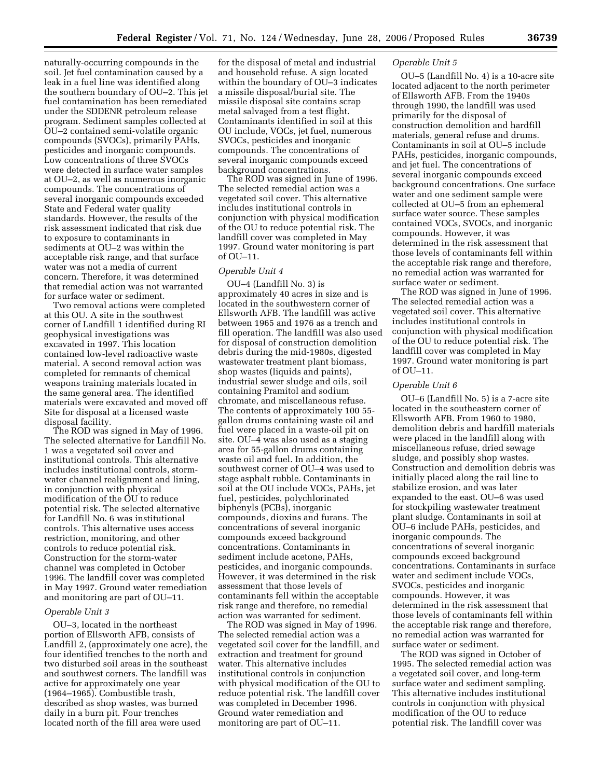naturally-occurring compounds in the soil. Jet fuel contamination caused by a leak in a fuel line was identified along the southern boundary of OU–2. This jet fuel contamination has been remediated under the SDDENR petroleum release program. Sediment samples collected at OU–2 contained semi-volatile organic compounds (SVOCs), primarily PAHs, pesticides and inorganic compounds. Low concentrations of three SVOCs were detected in surface water samples at OU–2, as well as numerous inorganic compounds. The concentrations of several inorganic compounds exceeded State and Federal water quality standards. However, the results of the risk assessment indicated that risk due to exposure to contaminants in sediments at OU–2 was within the acceptable risk range, and that surface water was not a media of current concern. Therefore, it was determined that remedial action was not warranted for surface water or sediment.

Two removal actions were completed at this OU. A site in the southwest corner of Landfill 1 identified during RI geophysical investigations was excavated in 1997. This location contained low-level radioactive waste material. A second removal action was completed for remnants of chemical weapons training materials located in the same general area. The identified materials were excavated and moved off Site for disposal at a licensed waste disposal facility.

The ROD was signed in May of 1996. The selected alternative for Landfill No. 1 was a vegetated soil cover and institutional controls. This alternative includes institutional controls, stormwater channel realignment and lining, in conjunction with physical modification of the OU to reduce potential risk. The selected alternative for Landfill No. 6 was institutional controls. This alternative uses access restriction, monitoring, and other controls to reduce potential risk. Construction for the storm-water channel was completed in October 1996. The landfill cover was completed in May 1997. Ground water remediation and monitoring are part of OU–11.

#### *Operable Unit 3*

OU–3, located in the northeast portion of Ellsworth AFB, consists of Landfill 2, (approximately one acre), the four identified trenches to the north and two disturbed soil areas in the southeast and southwest corners. The landfill was active for approximately one year (1964–1965). Combustible trash, described as shop wastes, was burned daily in a burn pit. Four trenches located north of the fill area were used

for the disposal of metal and industrial and household refuse. A sign located within the boundary of OU–3 indicates a missile disposal/burial site. The missile disposal site contains scrap metal salvaged from a test flight. Contaminants identified in soil at this OU include, VOCs, jet fuel, numerous SVOCs, pesticides and inorganic compounds. The concentrations of several inorganic compounds exceed background concentrations.

The ROD was signed in June of 1996. The selected remedial action was a vegetated soil cover. This alternative includes institutional controls in conjunction with physical modification of the OU to reduce potential risk. The landfill cover was completed in May 1997. Ground water monitoring is part of OU–11.

#### *Operable Unit 4*

OU–4 (Landfill No. 3) is approximately 40 acres in size and is located in the southwestern corner of Ellsworth AFB. The landfill was active between 1965 and 1976 as a trench and fill operation. The landfill was also used for disposal of construction demolition debris during the mid-1980s, digested wastewater treatment plant biomass, shop wastes (liquids and paints), industrial sewer sludge and oils, soil containing Pramitol and sodium chromate, and miscellaneous refuse. The contents of approximately 100 55 gallon drums containing waste oil and fuel were placed in a waste-oil pit on site. OU–4 was also used as a staging area for 55-gallon drums containing waste oil and fuel. In addition, the southwest corner of OU–4 was used to stage asphalt rubble. Contaminants in soil at the OU include VOCs, PAHs, jet fuel, pesticides, polychlorinated biphenyls (PCBs), inorganic compounds, dioxins and furans. The concentrations of several inorganic compounds exceed background concentrations. Contaminants in sediment include acetone, PAHs, pesticides, and inorganic compounds. However, it was determined in the risk assessment that those levels of contaminants fell within the acceptable risk range and therefore, no remedial action was warranted for sediment.

The ROD was signed in May of 1996. The selected remedial action was a vegetated soil cover for the landfill, and extraction and treatment for ground water. This alternative includes institutional controls in conjunction with physical modification of the OU to reduce potential risk. The landfill cover was completed in December 1996. Ground water remediation and monitoring are part of OU–11.

# *Operable Unit 5*

OU–5 (Landfill No. 4) is a 10-acre site located adjacent to the north perimeter of Ellsworth AFB. From the 1940s through 1990, the landfill was used primarily for the disposal of construction demolition and hardfill materials, general refuse and drums. Contaminants in soil at OU–5 include PAHs, pesticides, inorganic compounds, and jet fuel. The concentrations of several inorganic compounds exceed background concentrations. One surface water and one sediment sample were collected at OU–5 from an ephemeral surface water source. These samples contained VOCs, SVOCs, and inorganic compounds. However, it was determined in the risk assessment that those levels of contaminants fell within the acceptable risk range and therefore, no remedial action was warranted for surface water or sediment.

The ROD was signed in June of 1996. The selected remedial action was a vegetated soil cover. This alternative includes institutional controls in conjunction with physical modification of the OU to reduce potential risk. The landfill cover was completed in May 1997. Ground water monitoring is part of OU–11.

#### *Operable Unit 6*

OU–6 (Landfill No. 5) is a 7-acre site located in the southeastern corner of Ellsworth AFB. From 1960 to 1980, demolition debris and hardfill materials were placed in the landfill along with miscellaneous refuse, dried sewage sludge, and possibly shop wastes. Construction and demolition debris was initially placed along the rail line to stabilize erosion, and was later expanded to the east. OU–6 was used for stockpiling wastewater treatment plant sludge. Contaminants in soil at OU–6 include PAHs, pesticides, and inorganic compounds. The concentrations of several inorganic compounds exceed background concentrations. Contaminants in surface water and sediment include VOCs, SVOCs, pesticides and inorganic compounds. However, it was determined in the risk assessment that those levels of contaminants fell within the acceptable risk range and therefore, no remedial action was warranted for surface water or sediment.

The ROD was signed in October of 1995. The selected remedial action was a vegetated soil cover, and long-term surface water and sediment sampling. This alternative includes institutional controls in conjunction with physical modification of the OU to reduce potential risk. The landfill cover was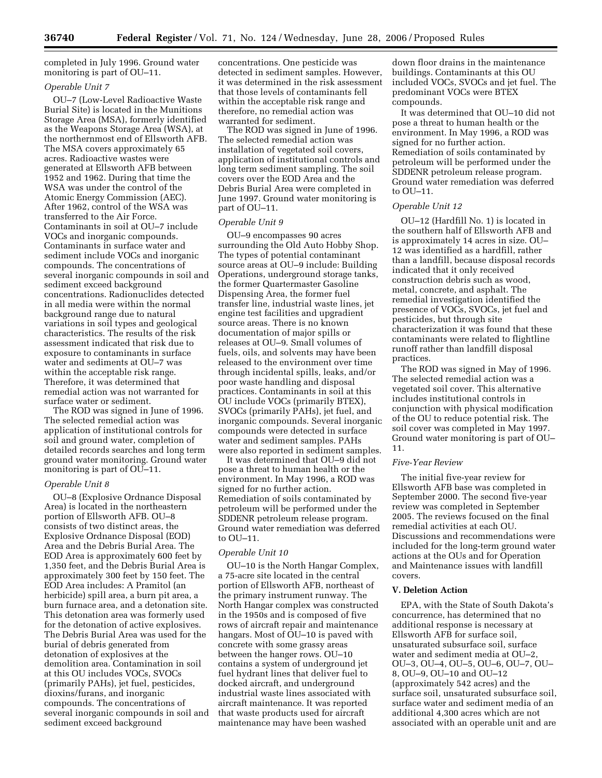completed in July 1996. Ground water monitoring is part of OU–11.

# *Operable Unit 7*

OU–7 (Low-Level Radioactive Waste Burial Site) is located in the Munitions Storage Area (MSA), formerly identified as the Weapons Storage Area (WSA), at the northernmost end of Ellsworth AFB. The MSA covers approximately 65 acres. Radioactive wastes were generated at Ellsworth AFB between 1952 and 1962. During that time the WSA was under the control of the Atomic Energy Commission (AEC). After 1962, control of the WSA was transferred to the Air Force. Contaminants in soil at OU–7 include VOCs and inorganic compounds. Contaminants in surface water and sediment include VOCs and inorganic compounds. The concentrations of several inorganic compounds in soil and sediment exceed background concentrations. Radionuclides detected in all media were within the normal background range due to natural variations in soil types and geological characteristics. The results of the risk assessment indicated that risk due to exposure to contaminants in surface water and sediments at OU–7 was within the acceptable risk range. Therefore, it was determined that remedial action was not warranted for surface water or sediment.

The ROD was signed in June of 1996. The selected remedial action was application of institutional controls for soil and ground water, completion of detailed records searches and long term ground water monitoring. Ground water monitoring is part of OU–11.

## *Operable Unit 8*

OU–8 (Explosive Ordnance Disposal Area) is located in the northeastern portion of Ellsworth AFB. OU–8 consists of two distinct areas, the Explosive Ordnance Disposal (EOD) Area and the Debris Burial Area. The EOD Area is approximately 600 feet by 1,350 feet, and the Debris Burial Area is approximately 300 feet by 150 feet. The EOD Area includes: A Pramitol (an herbicide) spill area, a burn pit area, a burn furnace area, and a detonation site. This detonation area was formerly used for the detonation of active explosives. The Debris Burial Area was used for the burial of debris generated from detonation of explosives at the demolition area. Contamination in soil at this OU includes VOCs, SVOCs (primarily PAHs), jet fuel, pesticides, dioxins/furans, and inorganic compounds. The concentrations of several inorganic compounds in soil and sediment exceed background

concentrations. One pesticide was detected in sediment samples. However, it was determined in the risk assessment that those levels of contaminants fell within the acceptable risk range and therefore, no remedial action was warranted for sediment.

The ROD was signed in June of 1996. The selected remedial action was installation of vegetated soil covers, application of institutional controls and long term sediment sampling. The soil covers over the EOD Area and the Debris Burial Area were completed in June 1997. Ground water monitoring is part of OU–11.

#### *Operable Unit 9*

OU–9 encompasses 90 acres surrounding the Old Auto Hobby Shop. The types of potential contaminant source areas at OU–9 include: Building Operations, underground storage tanks, the former Quartermaster Gasoline Dispensing Area, the former fuel transfer line, industrial waste lines, jet engine test facilities and upgradient source areas. There is no known documentation of major spills or releases at OU–9. Small volumes of fuels, oils, and solvents may have been released to the environment over time through incidental spills, leaks, and/or poor waste handling and disposal practices. Contaminants in soil at this OU include VOCs (primarily BTEX), SVOCs (primarily PAHs), jet fuel, and inorganic compounds. Several inorganic compounds were detected in surface water and sediment samples. PAHs were also reported in sediment samples.

It was determined that OU–9 did not pose a threat to human health or the environment. In May 1996, a ROD was signed for no further action. Remediation of soils contaminated by petroleum will be performed under the SDDENR petroleum release program. Ground water remediation was deferred to OU–11.

## *Operable Unit 10*

OU–10 is the North Hangar Complex, a 75-acre site located in the central portion of Ellsworth AFB, northeast of the primary instrument runway. The North Hangar complex was constructed in the 1950s and is composed of five rows of aircraft repair and maintenance hangars. Most of OU–10 is paved with concrete with some grassy areas between the hanger rows. OU–10 contains a system of underground jet fuel hydrant lines that deliver fuel to docked aircraft, and underground industrial waste lines associated with aircraft maintenance. It was reported that waste products used for aircraft maintenance may have been washed

down floor drains in the maintenance buildings. Contaminants at this OU included VOCs, SVOCs and jet fuel. The predominant VOCs were BTEX compounds.

It was determined that OU–10 did not pose a threat to human health or the environment. In May 1996, a ROD was signed for no further action. Remediation of soils contaminated by petroleum will be performed under the SDDENR petroleum release program. Ground water remediation was deferred to OU–11.

## *Operable Unit 12*

OU–12 (Hardfill No. 1) is located in the southern half of Ellsworth AFB and is approximately 14 acres in size. OU– 12 was identified as a hardfill, rather than a landfill, because disposal records indicated that it only received construction debris such as wood, metal, concrete, and asphalt. The remedial investigation identified the presence of VOCs, SVOCs, jet fuel and pesticides, but through site characterization it was found that these contaminants were related to flightline runoff rather than landfill disposal practices.

The ROD was signed in May of 1996. The selected remedial action was a vegetated soil cover. This alternative includes institutional controls in conjunction with physical modification of the OU to reduce potential risk. The soil cover was completed in May 1997. Ground water monitoring is part of OU– 11.

### *Five-Year Review*

The initial five-year review for Ellsworth AFB base was completed in September 2000. The second five-year review was completed in September 2005. The reviews focused on the final remedial activities at each OU. Discussions and recommendations were included for the long-term ground water actions at the OUs and for Operation and Maintenance issues with landfill covers.

## **V. Deletion Action**

EPA, with the State of South Dakota's concurrence, has determined that no additional response is necessary at Ellsworth AFB for surface soil, unsaturated subsurface soil, surface water and sediment media at OU–2, OU–3, OU–4, OU–5, OU–6, OU–7, OU– 8, OU–9, OU–10 and OU–12 (approximately 542 acres) and the surface soil, unsaturated subsurface soil, surface water and sediment media of an additional 4,300 acres which are not associated with an operable unit and are